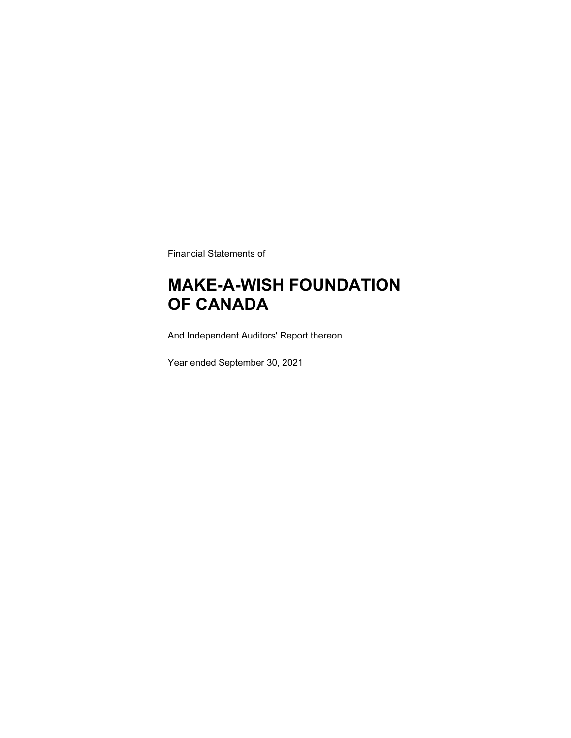Financial Statements of

### **MAKE-A-WISH FOUNDATION OF CANADA**

And Independent Auditors' Report thereon

Year ended September 30, 2021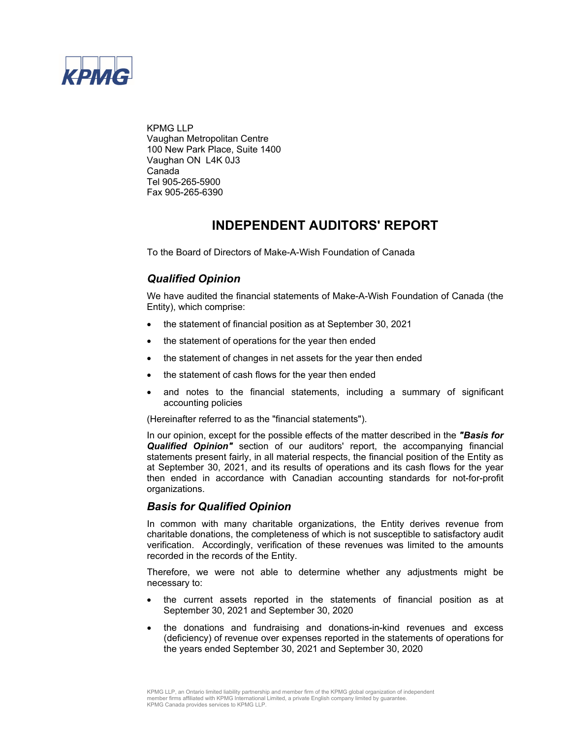

KPMG LLP Vaughan Metropolitan Centre 100 New Park Place, Suite 1400 Vaughan ON L4K 0J3 Canada Tel 905-265-5900 Fax 905-265-6390

### **INDEPENDENT AUDITORS' REPORT**

To the Board of Directors of Make-A-Wish Foundation of Canada

### *Qualified Opinion*

We have audited the financial statements of Make-A-Wish Foundation of Canada (the Entity), which comprise:

- the statement of financial position as at September 30, 2021
- the statement of operations for the year then ended
- the statement of changes in net assets for the year then ended
- the statement of cash flows for the year then ended
- and notes to the financial statements, including a summary of significant accounting policies

(Hereinafter referred to as the "financial statements").

In our opinion, except for the possible effects of the matter described in the *"Basis for Qualified Opinion"* section of our auditors' report, the accompanying financial statements present fairly, in all material respects, the financial position of the Entity as at September 30, 2021, and its results of operations and its cash flows for the year then ended in accordance with Canadian accounting standards for not-for-profit organizations.

### *Basis for Qualified Opinion*

In common with many charitable organizations, the Entity derives revenue from charitable donations, the completeness of which is not susceptible to satisfactory audit verification. Accordingly, verification of these revenues was limited to the amounts recorded in the records of the Entity.

Therefore, we were not able to determine whether any adjustments might be necessary to:

- the current assets reported in the statements of financial position as at September 30, 2021 and September 30, 2020
- the donations and fundraising and donations-in-kind revenues and excess (deficiency) of revenue over expenses reported in the statements of operations for the years ended September 30, 2021 and September 30, 2020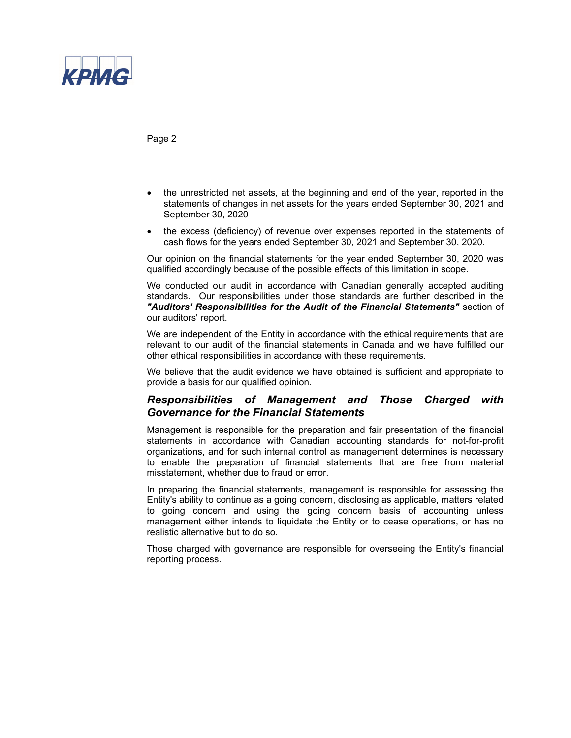

Page 2

- the unrestricted net assets, at the beginning and end of the year, reported in the statements of changes in net assets for the years ended September 30, 2021 and September 30, 2020
- the excess (deficiency) of revenue over expenses reported in the statements of cash flows for the years ended September 30, 2021 and September 30, 2020.

Our opinion on the financial statements for the year ended September 30, 2020 was qualified accordingly because of the possible effects of this limitation in scope.

We conducted our audit in accordance with Canadian generally accepted auditing standards. Our responsibilities under those standards are further described in the *"Auditors' Responsibilities for the Audit of the Financial Statements"* section of our auditors' report.

We are independent of the Entity in accordance with the ethical requirements that are relevant to our audit of the financial statements in Canada and we have fulfilled our other ethical responsibilities in accordance with these requirements.

We believe that the audit evidence we have obtained is sufficient and appropriate to provide a basis for our qualified opinion.

### *Responsibilities of Management and Those Charged with Governance for the Financial Statements*

Management is responsible for the preparation and fair presentation of the financial statements in accordance with Canadian accounting standards for not-for-profit organizations, and for such internal control as management determines is necessary to enable the preparation of financial statements that are free from material misstatement, whether due to fraud or error.

In preparing the financial statements, management is responsible for assessing the Entity's ability to continue as a going concern, disclosing as applicable, matters related to going concern and using the going concern basis of accounting unless management either intends to liquidate the Entity or to cease operations, or has no realistic alternative but to do so.

Those charged with governance are responsible for overseeing the Entity's financial reporting process.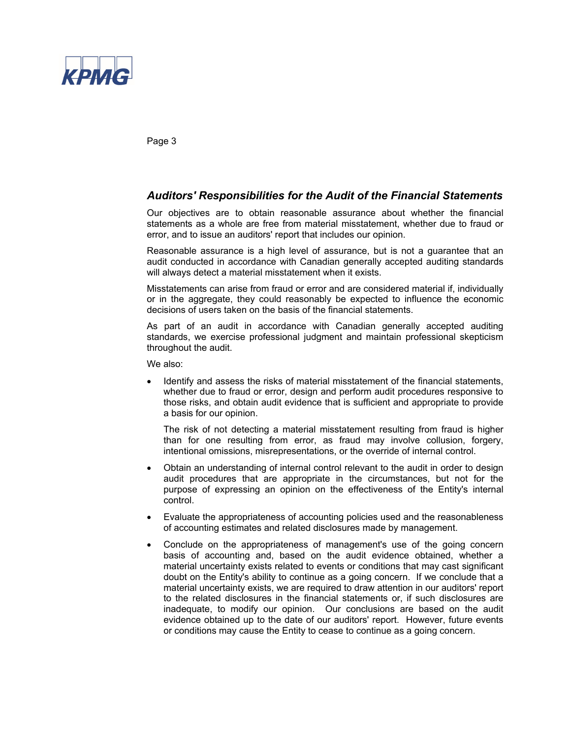

Page 3

### *Auditors' Responsibilities for the Audit of the Financial Statements*

Our objectives are to obtain reasonable assurance about whether the financial statements as a whole are free from material misstatement, whether due to fraud or error, and to issue an auditors' report that includes our opinion.

Reasonable assurance is a high level of assurance, but is not a guarantee that an audit conducted in accordance with Canadian generally accepted auditing standards will always detect a material misstatement when it exists.

Misstatements can arise from fraud or error and are considered material if, individually or in the aggregate, they could reasonably be expected to influence the economic decisions of users taken on the basis of the financial statements.

As part of an audit in accordance with Canadian generally accepted auditing standards, we exercise professional judgment and maintain professional skepticism throughout the audit.

We also:

 Identify and assess the risks of material misstatement of the financial statements, whether due to fraud or error, design and perform audit procedures responsive to those risks, and obtain audit evidence that is sufficient and appropriate to provide a basis for our opinion.

The risk of not detecting a material misstatement resulting from fraud is higher than for one resulting from error, as fraud may involve collusion, forgery, intentional omissions, misrepresentations, or the override of internal control.

- Obtain an understanding of internal control relevant to the audit in order to design audit procedures that are appropriate in the circumstances, but not for the purpose of expressing an opinion on the effectiveness of the Entity's internal control.
- Evaluate the appropriateness of accounting policies used and the reasonableness of accounting estimates and related disclosures made by management.
- Conclude on the appropriateness of management's use of the going concern basis of accounting and, based on the audit evidence obtained, whether a material uncertainty exists related to events or conditions that may cast significant doubt on the Entity's ability to continue as a going concern. If we conclude that a material uncertainty exists, we are required to draw attention in our auditors' report to the related disclosures in the financial statements or, if such disclosures are inadequate, to modify our opinion. Our conclusions are based on the audit evidence obtained up to the date of our auditors' report. However, future events or conditions may cause the Entity to cease to continue as a going concern.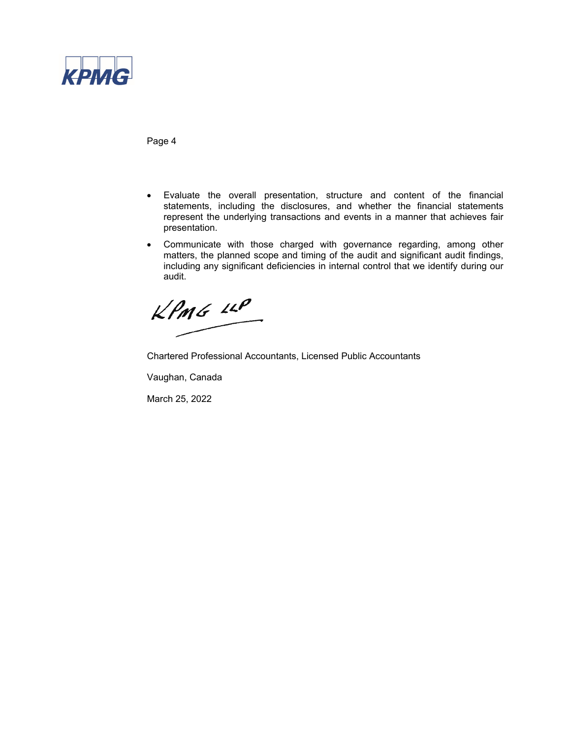

Page 4

- Evaluate the overall presentation, structure and content of the financial statements, including the disclosures, and whether the financial statements represent the underlying transactions and events in a manner that achieves fair presentation.
- Communicate with those charged with governance regarding, among other matters, the planned scope and timing of the audit and significant audit findings, including any significant deficiencies in internal control that we identify during our audit.

 $KPMG$  14P

Chartered Professional Accountants, Licensed Public Accountants

Vaughan, Canada

March 25, 2022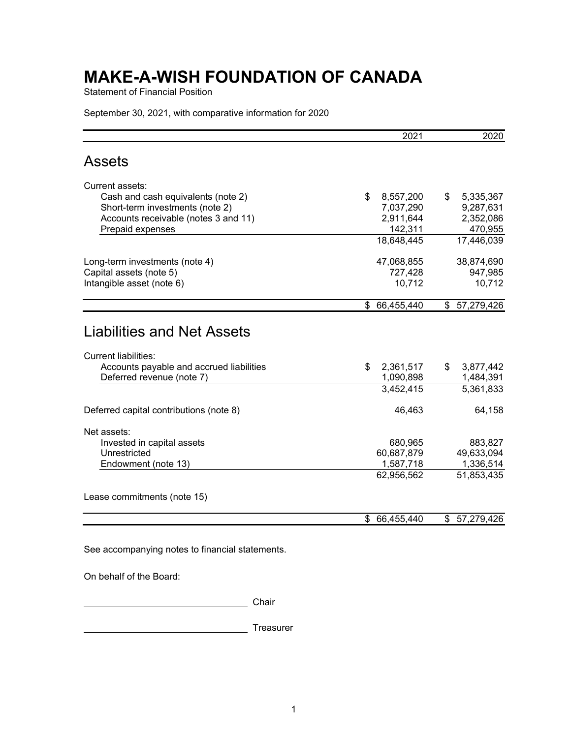Statement of Financial Position

September 30, 2021, with comparative information for 2020

|                                                                                                       | 2021            | 2020            |
|-------------------------------------------------------------------------------------------------------|-----------------|-----------------|
| <b>Assets</b>                                                                                         |                 |                 |
| Current assets:                                                                                       |                 |                 |
| Cash and cash equivalents (note 2)                                                                    | \$<br>8,557,200 | \$<br>5,335,367 |
| Short-term investments (note 2)                                                                       | 7,037,290       | 9,287,631       |
| Accounts receivable (notes 3 and 11)                                                                  | 2,911,644       | 2,352,086       |
| Prepaid expenses                                                                                      | 142,311         | 470,955         |
|                                                                                                       | 18,648,445      | 17,446,039      |
| Long-term investments (note 4)                                                                        | 47,068,855      | 38,874,690      |
| Capital assets (note 5)                                                                               | 727,428         | 947,985         |
| Intangible asset (note 6)                                                                             | 10,712          | 10,712          |
|                                                                                                       | \$ 66,455,440   | \$57,279,426    |
| Liabilities and Net Assets<br><b>Current liabilities:</b><br>Accounts payable and accrued liabilities | \$<br>2,361,517 | 3,877,442<br>\$ |
| Deferred revenue (note 7)                                                                             | 1,090,898       | 1,484,391       |
|                                                                                                       | 3,452,415       | 5,361,833       |
| Deferred capital contributions (note 8)                                                               | 46,463          | 64,158          |
| Net assets:                                                                                           |                 |                 |
| Invested in capital assets                                                                            | 680,965         | 883,827         |
| Unrestricted                                                                                          | 60,687,879      | 49,633,094      |
| Endowment (note 13)                                                                                   | 1,587,718       | 1,336,514       |
|                                                                                                       | 62,956,562      | 51,853,435      |
| Lease commitments (note 15)                                                                           |                 |                 |
|                                                                                                       |                 |                 |

See accompanying notes to financial statements.

On behalf of the Board:

**Chair** Chair

Treasurer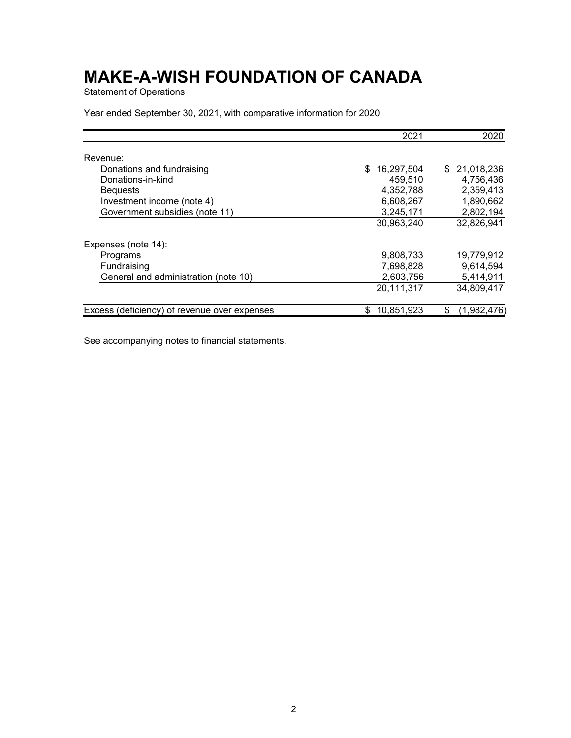Statement of Operations

Year ended September 30, 2021, with comparative information for 2020

|                                              | 2021              | 2020              |
|----------------------------------------------|-------------------|-------------------|
| Revenue:                                     |                   |                   |
| Donations and fundraising                    | 16,297,504<br>\$. | 21,018,236<br>S.  |
| Donations-in-kind                            | 459,510           | 4,756,436         |
| <b>Bequests</b>                              | 4,352,788         | 2,359,413         |
| Investment income (note 4)                   | 6,608,267         | 1,890,662         |
| Government subsidies (note 11)               | 3,245,171         | 2,802,194         |
|                                              | 30,963,240        | 32,826,941        |
| Expenses (note 14):                          |                   |                   |
| Programs                                     | 9,808,733         | 19,779,912        |
| Fundraising                                  | 7,698,828         | 9,614,594         |
| General and administration (note 10)         | 2,603,756         | 5,414,911         |
|                                              | 20,111,317        | 34,809,417        |
| Excess (deficiency) of revenue over expenses | 10,851,923<br>S   | \$<br>(1,982,476` |

See accompanying notes to financial statements.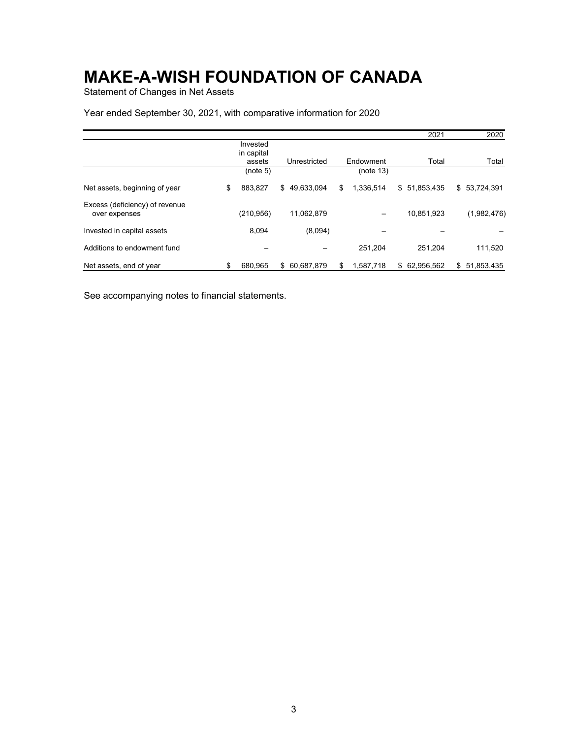Statement of Changes in Net Assets

### Year ended September 30, 2021, with comparative information for 2020

|                                                 |               |                  |                 | 2021          | 2020             |
|-------------------------------------------------|---------------|------------------|-----------------|---------------|------------------|
|                                                 | Invested      |                  |                 |               |                  |
|                                                 | in capital    |                  |                 |               |                  |
|                                                 | assets        | Unrestricted     | Endowment       | Total         | Total            |
|                                                 | (note 5)      |                  | (note 13)       |               |                  |
| Net assets, beginning of year                   | \$<br>883,827 | 49,633,094<br>\$ | \$<br>1,336,514 | \$51,853,435  | \$53,724,391     |
| Excess (deficiency) of revenue<br>over expenses | (210,956)     | 11,062,879       |                 | 10,851,923    | (1,982,476)      |
| Invested in capital assets                      | 8,094         | (8,094)          |                 |               |                  |
| Additions to endowment fund                     |               |                  | 251.204         | 251.204       | 111,520          |
| Net assets, end of year                         | \$<br>680.965 | 60,687,879<br>\$ | \$<br>1,587,718 | \$ 62,956,562 | 51,853,435<br>\$ |

See accompanying notes to financial statements.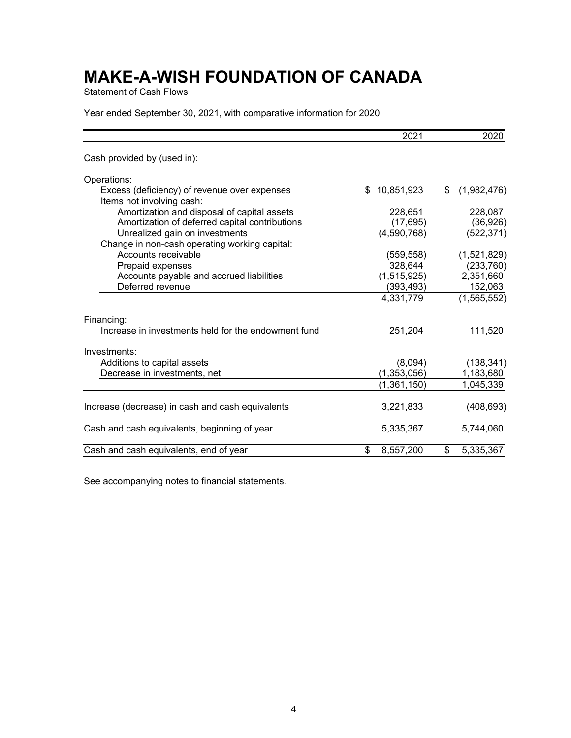Statement of Cash Flows

Year ended September 30, 2021, with comparative information for 2020

|                                                                           | 2021             | 2020              |
|---------------------------------------------------------------------------|------------------|-------------------|
| Cash provided by (used in):                                               |                  |                   |
| Operations:                                                               |                  |                   |
| Excess (deficiency) of revenue over expenses<br>Items not involving cash: | \$<br>10,851,923 | \$<br>(1,982,476) |
| Amortization and disposal of capital assets                               | 228,651          | 228,087           |
| Amortization of deferred capital contributions                            | (17, 695)        | (36, 926)         |
| Unrealized gain on investments                                            | (4,590,768)      | (522, 371)        |
| Change in non-cash operating working capital:                             |                  |                   |
| Accounts receivable                                                       | (559, 558)       | (1,521,829)       |
| Prepaid expenses                                                          | 328,644          | (233, 760)        |
| Accounts payable and accrued liabilities                                  | (1,515,925)      | 2,351,660         |
| Deferred revenue                                                          | (393,493)        | 152,063           |
|                                                                           | 4,331,779        | (1,565,552)       |
| Financing:                                                                |                  |                   |
| Increase in investments held for the endowment fund                       | 251,204          | 111,520           |
| Investments:                                                              |                  |                   |
| Additions to capital assets                                               | (8,094)          | (138, 341)        |
| Decrease in investments, net                                              | (1, 353, 056)    | 1,183,680         |
|                                                                           | (1,361,150)      | 1,045,339         |
| Increase (decrease) in cash and cash equivalents                          | 3,221,833        | (408, 693)        |
| Cash and cash equivalents, beginning of year                              | 5,335,367        | 5,744,060         |
| Cash and cash equivalents, end of year                                    | \$<br>8,557,200  | \$<br>5,335,367   |

See accompanying notes to financial statements.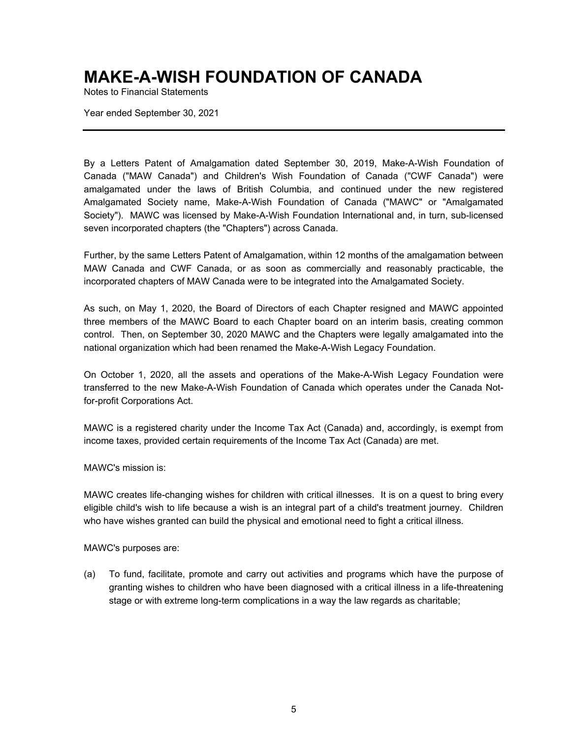Notes to Financial Statements

Year ended September 30, 2021

By a Letters Patent of Amalgamation dated September 30, 2019, Make-A-Wish Foundation of Canada ("MAW Canada") and Children's Wish Foundation of Canada ("CWF Canada") were amalgamated under the laws of British Columbia, and continued under the new registered Amalgamated Society name, Make-A-Wish Foundation of Canada ("MAWC" or "Amalgamated Society"). MAWC was licensed by Make-A-Wish Foundation International and, in turn, sub-licensed seven incorporated chapters (the "Chapters") across Canada.

Further, by the same Letters Patent of Amalgamation, within 12 months of the amalgamation between MAW Canada and CWF Canada, or as soon as commercially and reasonably practicable, the incorporated chapters of MAW Canada were to be integrated into the Amalgamated Society.

As such, on May 1, 2020, the Board of Directors of each Chapter resigned and MAWC appointed three members of the MAWC Board to each Chapter board on an interim basis, creating common control. Then, on September 30, 2020 MAWC and the Chapters were legally amalgamated into the national organization which had been renamed the Make-A-Wish Legacy Foundation.

On October 1, 2020, all the assets and operations of the Make-A-Wish Legacy Foundation were transferred to the new Make-A-Wish Foundation of Canada which operates under the Canada Notfor-profit Corporations Act.

MAWC is a registered charity under the Income Tax Act (Canada) and, accordingly, is exempt from income taxes, provided certain requirements of the Income Tax Act (Canada) are met.

MAWC's mission is:

MAWC creates life-changing wishes for children with critical illnesses. It is on a quest to bring every eligible child's wish to life because a wish is an integral part of a child's treatment journey. Children who have wishes granted can build the physical and emotional need to fight a critical illness.

MAWC's purposes are:

(a) To fund, facilitate, promote and carry out activities and programs which have the purpose of granting wishes to children who have been diagnosed with a critical illness in a life-threatening stage or with extreme long-term complications in a way the law regards as charitable;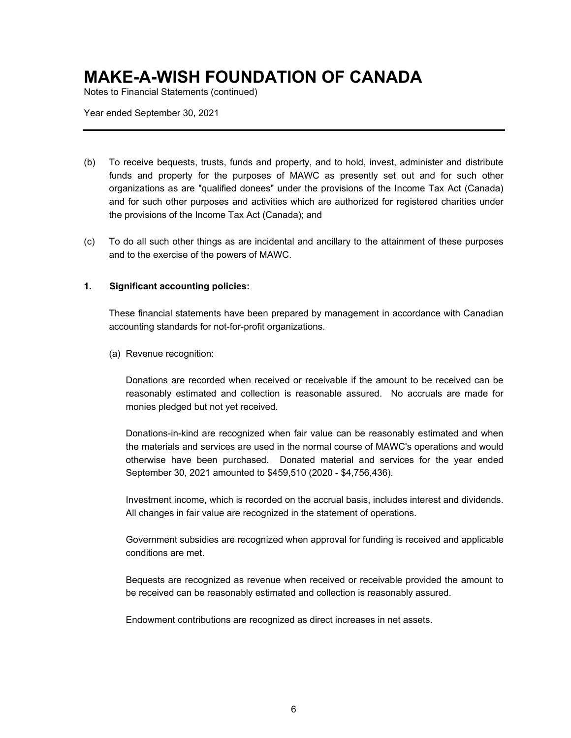Notes to Financial Statements (continued)

Year ended September 30, 2021

- (b) To receive bequests, trusts, funds and property, and to hold, invest, administer and distribute funds and property for the purposes of MAWC as presently set out and for such other organizations as are "qualified donees" under the provisions of the Income Tax Act (Canada) and for such other purposes and activities which are authorized for registered charities under the provisions of the Income Tax Act (Canada); and
- (c) To do all such other things as are incidental and ancillary to the attainment of these purposes and to the exercise of the powers of MAWC.

### **1. Significant accounting policies:**

These financial statements have been prepared by management in accordance with Canadian accounting standards for not-for-profit organizations.

(a) Revenue recognition:

Donations are recorded when received or receivable if the amount to be received can be reasonably estimated and collection is reasonable assured. No accruals are made for monies pledged but not yet received.

Donations-in-kind are recognized when fair value can be reasonably estimated and when the materials and services are used in the normal course of MAWC's operations and would otherwise have been purchased. Donated material and services for the year ended September 30, 2021 amounted to \$459,510 (2020 - \$4,756,436).

Investment income, which is recorded on the accrual basis, includes interest and dividends. All changes in fair value are recognized in the statement of operations.

Government subsidies are recognized when approval for funding is received and applicable conditions are met.

Bequests are recognized as revenue when received or receivable provided the amount to be received can be reasonably estimated and collection is reasonably assured.

Endowment contributions are recognized as direct increases in net assets.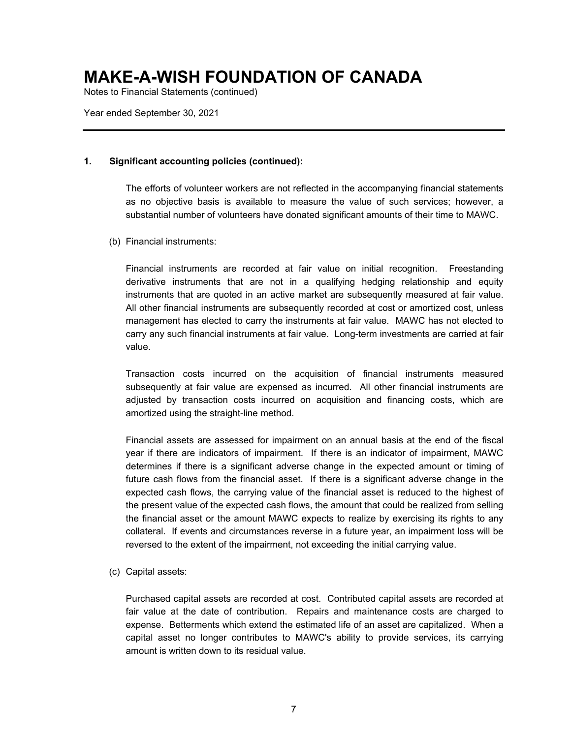Notes to Financial Statements (continued)

Year ended September 30, 2021

#### **1. Significant accounting policies (continued):**

The efforts of volunteer workers are not reflected in the accompanying financial statements as no objective basis is available to measure the value of such services; however, a substantial number of volunteers have donated significant amounts of their time to MAWC.

(b) Financial instruments:

Financial instruments are recorded at fair value on initial recognition. Freestanding derivative instruments that are not in a qualifying hedging relationship and equity instruments that are quoted in an active market are subsequently measured at fair value. All other financial instruments are subsequently recorded at cost or amortized cost, unless management has elected to carry the instruments at fair value. MAWC has not elected to carry any such financial instruments at fair value. Long-term investments are carried at fair value.

Transaction costs incurred on the acquisition of financial instruments measured subsequently at fair value are expensed as incurred. All other financial instruments are adjusted by transaction costs incurred on acquisition and financing costs, which are amortized using the straight-line method.

Financial assets are assessed for impairment on an annual basis at the end of the fiscal year if there are indicators of impairment. If there is an indicator of impairment, MAWC determines if there is a significant adverse change in the expected amount or timing of future cash flows from the financial asset. If there is a significant adverse change in the expected cash flows, the carrying value of the financial asset is reduced to the highest of the present value of the expected cash flows, the amount that could be realized from selling the financial asset or the amount MAWC expects to realize by exercising its rights to any collateral. If events and circumstances reverse in a future year, an impairment loss will be reversed to the extent of the impairment, not exceeding the initial carrying value.

(c) Capital assets:

Purchased capital assets are recorded at cost. Contributed capital assets are recorded at fair value at the date of contribution. Repairs and maintenance costs are charged to expense. Betterments which extend the estimated life of an asset are capitalized. When a capital asset no longer contributes to MAWC's ability to provide services, its carrying amount is written down to its residual value.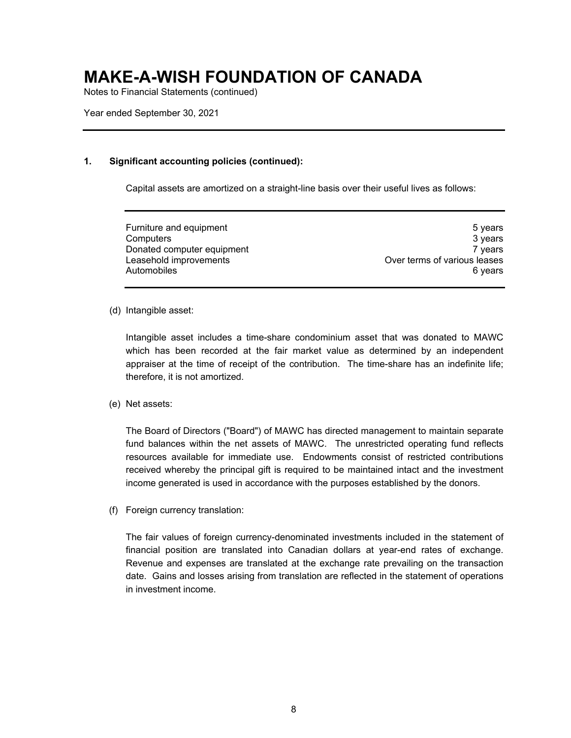Notes to Financial Statements (continued)

Year ended September 30, 2021

### **1. Significant accounting policies (continued):**

Capital assets are amortized on a straight-line basis over their useful lives as follows:

Furniture and equipment **Furniture 3** years Computers 3 years Donated computer equipment 7 years 7 years Leasehold improvements<br>Automobiles 6 years Automobiles

(d) Intangible asset:

Intangible asset includes a time-share condominium asset that was donated to MAWC which has been recorded at the fair market value as determined by an independent appraiser at the time of receipt of the contribution. The time-share has an indefinite life; therefore, it is not amortized.

(e) Net assets:

The Board of Directors ("Board") of MAWC has directed management to maintain separate fund balances within the net assets of MAWC. The unrestricted operating fund reflects resources available for immediate use. Endowments consist of restricted contributions received whereby the principal gift is required to be maintained intact and the investment income generated is used in accordance with the purposes established by the donors.

(f) Foreign currency translation:

The fair values of foreign currency-denominated investments included in the statement of financial position are translated into Canadian dollars at year-end rates of exchange. Revenue and expenses are translated at the exchange rate prevailing on the transaction date. Gains and losses arising from translation are reflected in the statement of operations in investment income.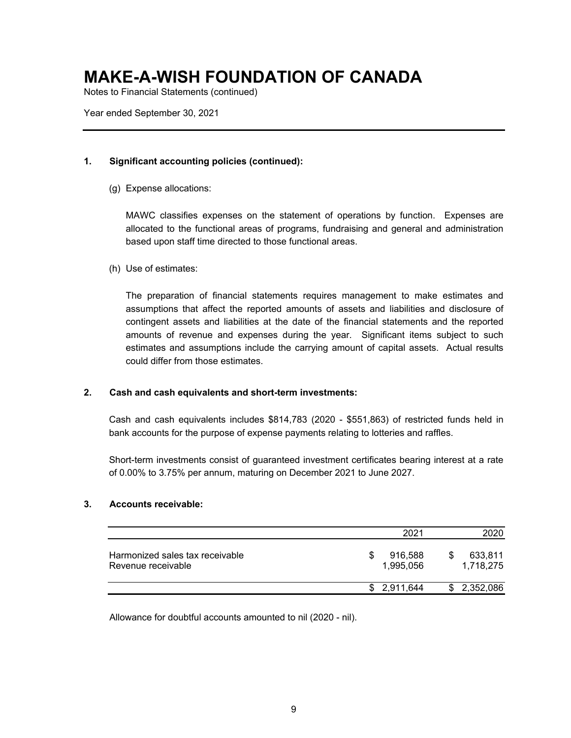Notes to Financial Statements (continued)

Year ended September 30, 2021

### **1. Significant accounting policies (continued):**

(g) Expense allocations:

MAWC classifies expenses on the statement of operations by function. Expenses are allocated to the functional areas of programs, fundraising and general and administration based upon staff time directed to those functional areas.

(h) Use of estimates:

The preparation of financial statements requires management to make estimates and assumptions that affect the reported amounts of assets and liabilities and disclosure of contingent assets and liabilities at the date of the financial statements and the reported amounts of revenue and expenses during the year. Significant items subject to such estimates and assumptions include the carrying amount of capital assets. Actual results could differ from those estimates.

### **2. Cash and cash equivalents and short-term investments:**

Cash and cash equivalents includes \$814,783 (2020 - \$551,863) of restricted funds held in bank accounts for the purpose of expense payments relating to lotteries and raffles.

Short-term investments consist of guaranteed investment certificates bearing interest at a rate of 0.00% to 3.75% per annum, maturing on December 2021 to June 2027.

### **3. Accounts receivable:**

|                                                       | 2021                 | 2020                 |
|-------------------------------------------------------|----------------------|----------------------|
| Harmonized sales tax receivable<br>Revenue receivable | 916,588<br>1.995.056 | 633,811<br>1.718.275 |
|                                                       | \$2,911,644          | \$2,352,086          |

Allowance for doubtful accounts amounted to nil (2020 - nil).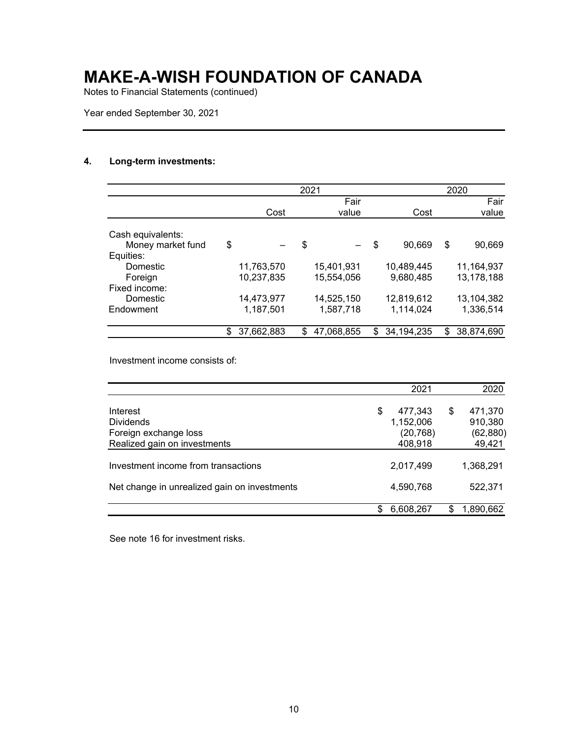Notes to Financial Statements (continued)

Year ended September 30, 2021

### **4. Long-term investments:**

|                   |                  | 2021 |            |                    | 2020             |
|-------------------|------------------|------|------------|--------------------|------------------|
|                   |                  |      | Fair       |                    | Fair             |
|                   | Cost             |      | value      | Cost               | value            |
|                   |                  |      |            |                    |                  |
| Cash equivalents: |                  |      |            |                    |                  |
| Money market fund | \$               | \$   |            | \$<br>90,669       | \$<br>90,669     |
| Equities:         |                  |      |            |                    |                  |
| Domestic          | 11,763,570       |      | 15,401,931 | 10,489,445         | 11,164,937       |
| Foreign           | 10,237,835       |      | 15,554,056 | 9,680,485          | 13,178,188       |
| Fixed income:     |                  |      |            |                    |                  |
| Domestic          | 14,473,977       |      | 14,525,150 | 12,819,612         | 13,104,382       |
| Endowment         | 1,187,501        |      | 1,587,718  | 1,114,024          | 1,336,514        |
|                   | \$<br>37.662.883 | \$   | 47,068,855 | \$<br>34, 194, 235 | \$<br>38,874,690 |

Investment income consists of:

|                                              |   | 2021      | 2020          |
|----------------------------------------------|---|-----------|---------------|
| Interest                                     | S | 477,343   | \$<br>471,370 |
| <b>Dividends</b>                             |   | 1,152,006 | 910,380       |
| Foreign exchange loss                        |   | (20, 768) | (62, 880)     |
| Realized gain on investments                 |   | 408,918   | 49,421        |
| Investment income from transactions          |   | 2,017,499 | 1,368,291     |
| Net change in unrealized gain on investments |   | 4,590,768 | 522,371       |
|                                              |   | 6,608,267 | 1.890.662     |

See note 16 for investment risks.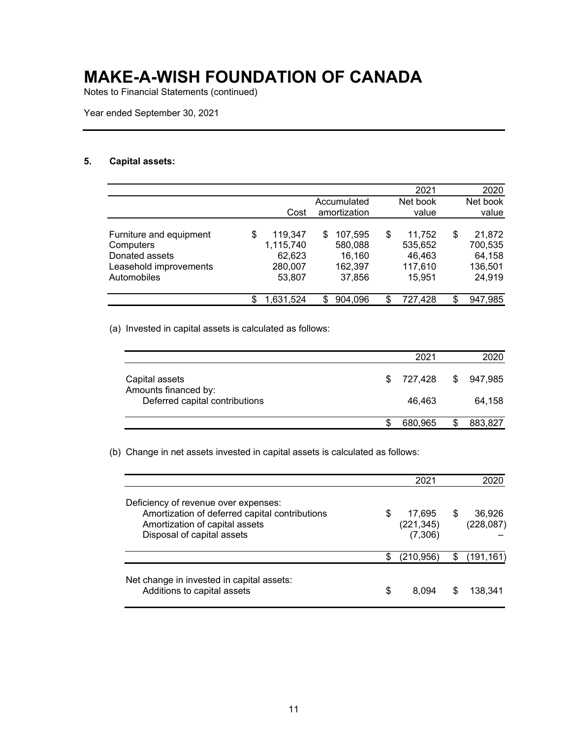Notes to Financial Statements (continued)

Year ended September 30, 2021

### **5. Capital assets:**

|                         |    |           |              |                | 2021     |     | 2020     |
|-------------------------|----|-----------|--------------|----------------|----------|-----|----------|
|                         |    |           | Accumulated  |                | Net book |     | Net book |
|                         |    | Cost      | amortization |                | value    |     | value    |
|                         |    |           |              |                |          |     |          |
| Furniture and equipment | S  | 119,347   | \$.          | 107,595<br>S   | 11.752   | S   | 21,872   |
| Computers               |    | 1,115,740 |              | 580,088        | 535,652  |     | 700,535  |
| Donated assets          |    | 62,623    |              | 16,160         | 46,463   |     | 64,158   |
| Leasehold improvements  |    | 280,007   |              | 162,397        | 117,610  |     | 136,501  |
| Automobiles             |    | 53,807    |              | 37,856         | 15,951   |     | 24,919   |
|                         |    |           |              |                |          |     |          |
|                         | S. | 1,631,524 | S.           | 904,096<br>\$. | 727,428  | \$. | 947,985  |

(a) Invested in capital assets is calculated as follows:

|                                                        | 2021      | 2020      |
|--------------------------------------------------------|-----------|-----------|
| Capital assets                                         | \$727.428 | \$947.985 |
| Amounts financed by:<br>Deferred capital contributions | 46.463    | 64.158    |
|                                                        | 680,965   | 883,827   |

(b) Change in net assets invested in capital assets is calculated as follows:

|                                                                                                                                                        |    | 2021                            |   | 2020                 |
|--------------------------------------------------------------------------------------------------------------------------------------------------------|----|---------------------------------|---|----------------------|
| Deficiency of revenue over expenses:<br>Amortization of deferred capital contributions<br>Amortization of capital assets<br>Disposal of capital assets | S  | 17,695<br>(221, 345)<br>(7,306) | S | 36.926<br>(228, 087) |
|                                                                                                                                                        |    | (210, 956)                      | S | (191, 161)           |
| Net change in invested in capital assets:<br>Additions to capital assets                                                                               | \$ | 8.094                           | S | 138.341              |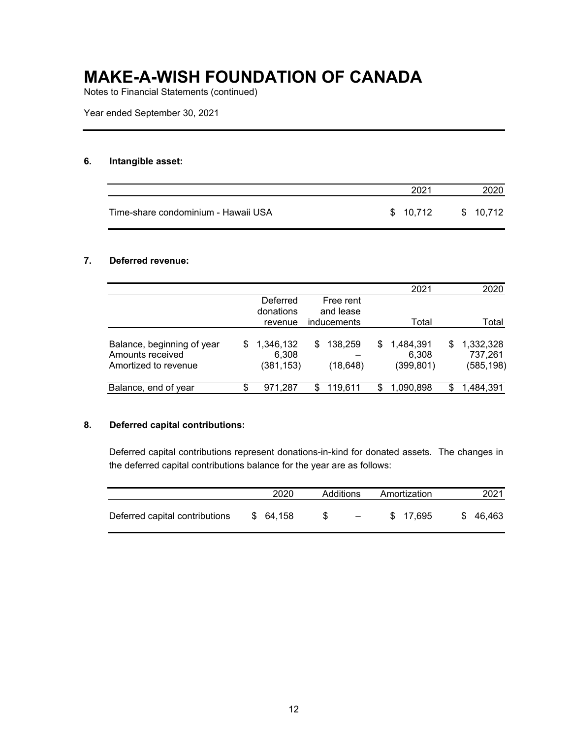Notes to Financial Statements (continued)

Year ended September 30, 2021

#### **6. Intangible asset:**

|                                     | 2021      | 2020      |
|-------------------------------------|-----------|-----------|
| Time-share condominium - Hawaii USA | \$ 10.712 | \$ 10.712 |

### **7. Deferred revenue:**

|   |            |     |          |                                       | 2021       |     | 2020       |
|---|------------|-----|----------|---------------------------------------|------------|-----|------------|
|   | Deferred   |     |          |                                       |            |     |            |
|   | donations  |     |          |                                       |            |     |            |
|   | revenue    |     |          |                                       | Total      |     | Total      |
| S | 1,346,132  | \$. | 138,259  | \$.                                   | 1,484,391  | \$. | 1,332,328  |
|   | 6,308      |     |          |                                       | 6,308      |     | 737,261    |
|   | (381, 153) |     | (18,648) |                                       | (399, 801) |     | (585, 198) |
|   | 971,287    |     | 119,611  |                                       | 1,090,898  | S   | 1,484,391  |
|   |            |     |          | Free rent<br>and lease<br>inducements |            |     |            |

#### **8. Deferred capital contributions:**

Deferred capital contributions represent donations-in-kind for donated assets. The changes in the deferred capital contributions balance for the year are as follows:

|                                | 2020      | Additions                        | Amortization | 2021     |
|--------------------------------|-----------|----------------------------------|--------------|----------|
| Deferred capital contributions | \$ 64.158 | S.<br>and the state of the state | \$17.695     | \$46.463 |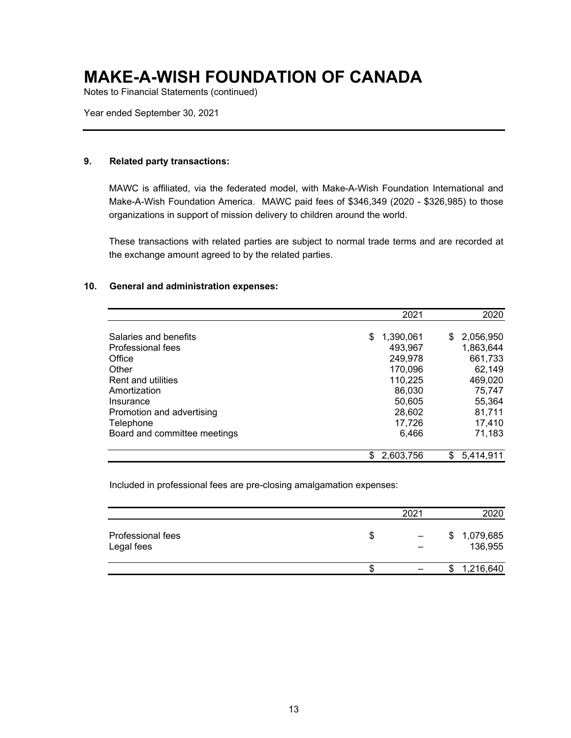Notes to Financial Statements (continued)

Year ended September 30, 2021

#### **9. Related party transactions:**

MAWC is affiliated, via the federated model, with Make-A-Wish Foundation International and Make-A-Wish Foundation America. MAWC paid fees of \$346,349 (2020 - \$326,985) to those organizations in support of mission delivery to children around the world.

These transactions with related parties are subject to normal trade terms and are recorded at the exchange amount agreed to by the related parties.

#### **10. General and administration expenses:**

|                              | 2021            | 2020             |
|------------------------------|-----------------|------------------|
| Salaries and benefits        | \$<br>1,390,061 | 2,056,950<br>\$. |
| Professional fees            | 493,967         | 1,863,644        |
| Office                       | 249,978         | 661,733          |
| Other                        | 170,096         | 62,149           |
| <b>Rent and utilities</b>    | 110,225         | 469,020          |
| Amortization                 | 86,030          | 75,747           |
| Insurance                    | 50,605          | 55,364           |
| Promotion and advertising    | 28,602          | 81,711           |
| Telephone                    | 17,726          | 17,410           |
| Board and committee meetings | 6,466           | 71,183           |
|                              | 2,603,756<br>\$ | 5,414,911<br>\$  |

Included in professional fees are pre-closing amalgamation expenses:

|                                 |    | 2021 | 2020                       |
|---------------------------------|----|------|----------------------------|
| Professional fees<br>Legal fees | \$ |      | 1,079,685<br>\$<br>136,955 |
|                                 | ٠D |      | 1,216,640<br>\$            |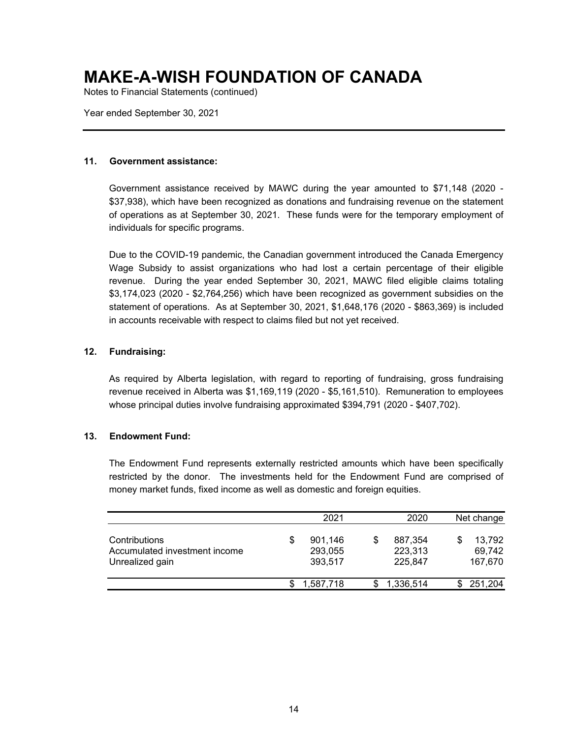Notes to Financial Statements (continued)

Year ended September 30, 2021

#### **11. Government assistance:**

Government assistance received by MAWC during the year amounted to \$71,148 (2020 - \$37,938), which have been recognized as donations and fundraising revenue on the statement of operations as at September 30, 2021. These funds were for the temporary employment of individuals for specific programs.

Due to the COVID-19 pandemic, the Canadian government introduced the Canada Emergency Wage Subsidy to assist organizations who had lost a certain percentage of their eligible revenue. During the year ended September 30, 2021, MAWC filed eligible claims totaling \$3,174,023 (2020 - \$2,764,256) which have been recognized as government subsidies on the statement of operations. As at September 30, 2021, \$1,648,176 (2020 - \$863,369) is included in accounts receivable with respect to claims filed but not yet received.

### **12. Fundraising:**

As required by Alberta legislation, with regard to reporting of fundraising, gross fundraising revenue received in Alberta was \$1,169,119 (2020 - \$5,161,510). Remuneration to employees whose principal duties involve fundraising approximated \$394,791 (2020 - \$407,702).

### **13. Endowment Fund:**

The Endowment Fund represents externally restricted amounts which have been specifically restricted by the donor. The investments held for the Endowment Fund are comprised of money market funds, fixed income as well as domestic and foreign equities.

|                                                                   |   | 2021                          |   | 2020                          | Net change                  |
|-------------------------------------------------------------------|---|-------------------------------|---|-------------------------------|-----------------------------|
| Contributions<br>Accumulated investment income<br>Unrealized gain | S | 901.146<br>293,055<br>393.517 | S | 887,354<br>223,313<br>225.847 | 13.792<br>69,742<br>167,670 |
|                                                                   |   | 1.587.718                     |   | 1,336,514                     | 251,204                     |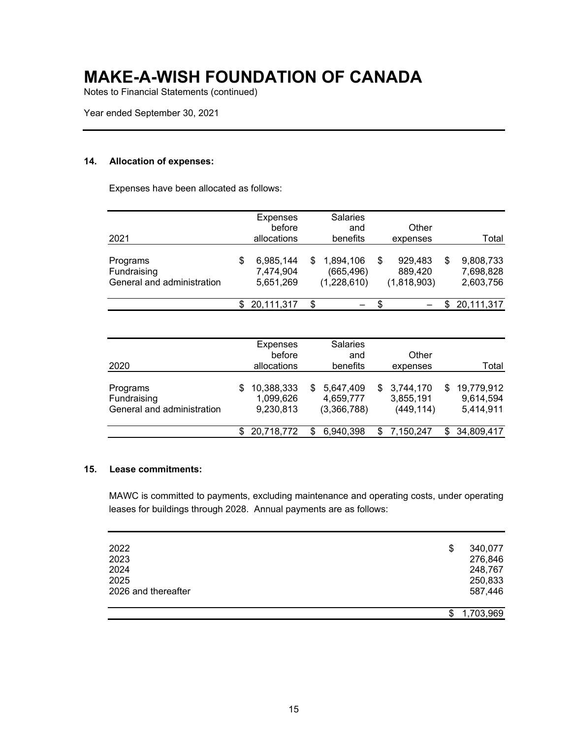Notes to Financial Statements (continued)

Year ended September 30, 2021

#### **14. Allocation of expenses:**

Expenses have been allocated as follows:

| 2021                                                  | Expenses<br>before<br>allocations   |   | <b>Salaries</b><br>and<br>benefits     | Other<br>expenses                       |   | Total                               |
|-------------------------------------------------------|-------------------------------------|---|----------------------------------------|-----------------------------------------|---|-------------------------------------|
| Programs<br>Fundraising<br>General and administration | 6,985,144<br>7,474,904<br>5,651,269 | S | 1,894,106<br>(665, 496)<br>(1,228,610) | \$<br>929,483<br>889,420<br>(1,818,903) | S | 9,808,733<br>7,698,828<br>2,603,756 |
|                                                       | 20,111,317                          | S |                                        |                                         |   | 20,111,317                          |

| 2020                                                  |     | <b>Expenses</b><br>before<br>allocations |    | <b>Salaries</b><br>and<br>benefits    | Other<br>expenses                      |     | Total                                |
|-------------------------------------------------------|-----|------------------------------------------|----|---------------------------------------|----------------------------------------|-----|--------------------------------------|
| Programs<br>Fundraising<br>General and administration | S   | 10,388,333<br>1,099,626<br>9,230,813     | S. | 5,647,409<br>4,659,777<br>(3,366,788) | \$3,744,170<br>3,855,191<br>(449, 114) | SS. | 19,779,912<br>9,614,594<br>5,414,911 |
|                                                       | \$. | 20,718,772                               |    | 6,940,398                             | 7,150,247                              |     | \$34,809,417                         |

#### **15. Lease commitments:**

MAWC is committed to payments, excluding maintenance and operating costs, under operating leases for buildings through 2028. Annual payments are as follows:

| 2022<br>2023<br>2024<br>2025<br>2026 and thereafter | \$<br>340,077<br>276,846<br>248,767<br>250,833<br>587,446 |
|-----------------------------------------------------|-----------------------------------------------------------|
|                                                     | 1,703,969                                                 |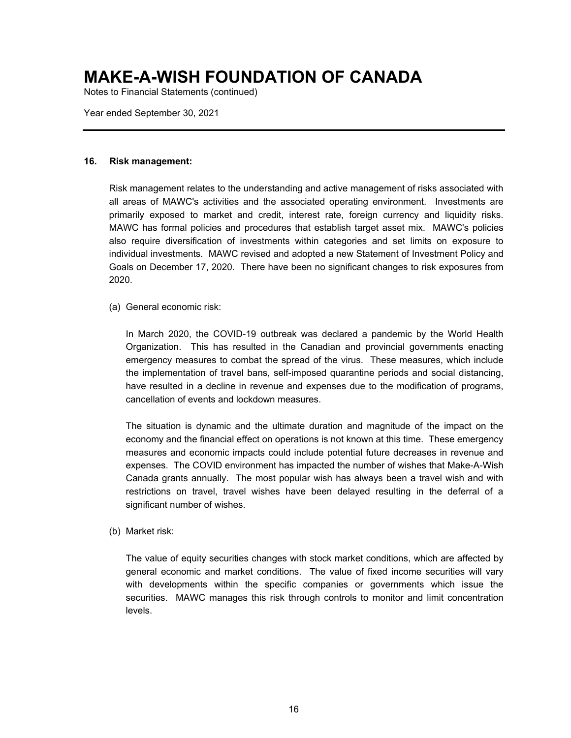Notes to Financial Statements (continued)

Year ended September 30, 2021

#### **16. Risk management:**

Risk management relates to the understanding and active management of risks associated with all areas of MAWC's activities and the associated operating environment. Investments are primarily exposed to market and credit, interest rate, foreign currency and liquidity risks. MAWC has formal policies and procedures that establish target asset mix. MAWC's policies also require diversification of investments within categories and set limits on exposure to individual investments. MAWC revised and adopted a new Statement of Investment Policy and Goals on December 17, 2020. There have been no significant changes to risk exposures from 2020.

(a) General economic risk:

In March 2020, the COVID-19 outbreak was declared a pandemic by the World Health Organization. This has resulted in the Canadian and provincial governments enacting emergency measures to combat the spread of the virus. These measures, which include the implementation of travel bans, self-imposed quarantine periods and social distancing, have resulted in a decline in revenue and expenses due to the modification of programs, cancellation of events and lockdown measures.

The situation is dynamic and the ultimate duration and magnitude of the impact on the economy and the financial effect on operations is not known at this time. These emergency measures and economic impacts could include potential future decreases in revenue and expenses. The COVID environment has impacted the number of wishes that Make-A-Wish Canada grants annually. The most popular wish has always been a travel wish and with restrictions on travel, travel wishes have been delayed resulting in the deferral of a significant number of wishes.

(b) Market risk:

The value of equity securities changes with stock market conditions, which are affected by general economic and market conditions. The value of fixed income securities will vary with developments within the specific companies or governments which issue the securities. MAWC manages this risk through controls to monitor and limit concentration levels.